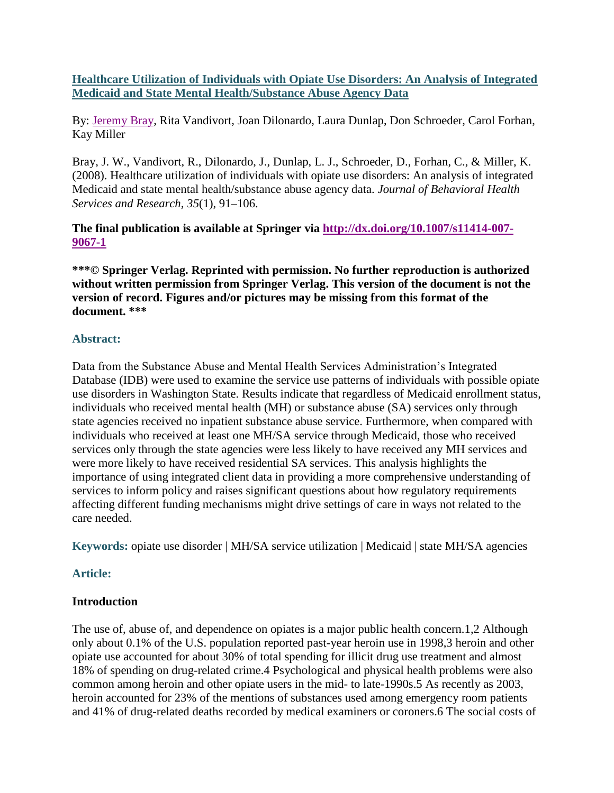**Healthcare Utilization of Individuals with Opiate Use Disorders: An Analysis of Integrated Medicaid and State Mental Health/Substance Abuse Agency Data**

By: [Jeremy Bray,](http://libres.uncg.edu/ir/uncg/clist.aspx?id=9220) Rita Vandivort, Joan Dilonardo, Laura Dunlap, Don Schroeder, Carol Forhan, Kay Miller

Bray, J. W., Vandivort, R., Dilonardo, J., Dunlap, L. J., Schroeder, D., Forhan, C., & Miller, K. (2008). Healthcare utilization of individuals with opiate use disorders: An analysis of integrated Medicaid and state mental health/substance abuse agency data. *Journal of Behavioral Health Services and Research, 35*(1), 91–106.

**The final publication is available at Springer via [http://dx.doi.org/10.1007/s11414-007-](http://dx.doi.org/10.1007/s11414-007-9067-1) [9067-1](http://dx.doi.org/10.1007/s11414-007-9067-1)**

**\*\*\*© Springer Verlag. Reprinted with permission. No further reproduction is authorized without written permission from Springer Verlag. This version of the document is not the version of record. Figures and/or pictures may be missing from this format of the document. \*\*\***

## **Abstract:**

Data from the Substance Abuse and Mental Health Services Administration's Integrated Database (IDB) were used to examine the service use patterns of individuals with possible opiate use disorders in Washington State. Results indicate that regardless of Medicaid enrollment status, individuals who received mental health (MH) or substance abuse (SA) services only through state agencies received no inpatient substance abuse service. Furthermore, when compared with individuals who received at least one MH/SA service through Medicaid, those who received services only through the state agencies were less likely to have received any MH services and were more likely to have received residential SA services. This analysis highlights the importance of using integrated client data in providing a more comprehensive understanding of services to inform policy and raises significant questions about how regulatory requirements affecting different funding mechanisms might drive settings of care in ways not related to the care needed.

**Keywords:** opiate use disorder | MH/SA service utilization | Medicaid | state MH/SA agencies

# **Article:**

#### **Introduction**

The use of, abuse of, and dependence on opiates is a major public health concern.1,2 Although only about 0.1% of the U.S. population reported past-year heroin use in 1998,3 heroin and other opiate use accounted for about 30% of total spending for illicit drug use treatment and almost 18% of spending on drug-related crime.4 Psychological and physical health problems were also common among heroin and other opiate users in the mid- to late-1990s.5 As recently as 2003, heroin accounted for 23% of the mentions of substances used among emergency room patients and 41% of drug-related deaths recorded by medical examiners or coroners.6 The social costs of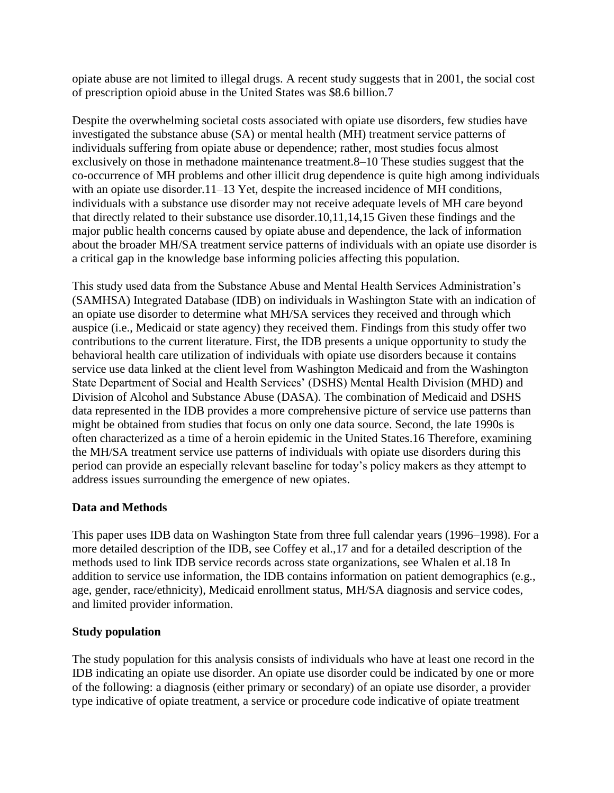opiate abuse are not limited to illegal drugs. A recent study suggests that in 2001, the social cost of prescription opioid abuse in the United States was \$8.6 billion.7

Despite the overwhelming societal costs associated with opiate use disorders, few studies have investigated the substance abuse (SA) or mental health (MH) treatment service patterns of individuals suffering from opiate abuse or dependence; rather, most studies focus almost exclusively on those in methadone maintenance treatment.8–10 These studies suggest that the co-occurrence of MH problems and other illicit drug dependence is quite high among individuals with an opiate use disorder.11–13 Yet, despite the increased incidence of MH conditions, individuals with a substance use disorder may not receive adequate levels of MH care beyond that directly related to their substance use disorder.10,11,14,15 Given these findings and the major public health concerns caused by opiate abuse and dependence, the lack of information about the broader MH/SA treatment service patterns of individuals with an opiate use disorder is a critical gap in the knowledge base informing policies affecting this population.

This study used data from the Substance Abuse and Mental Health Services Administration's (SAMHSA) Integrated Database (IDB) on individuals in Washington State with an indication of an opiate use disorder to determine what MH/SA services they received and through which auspice (i.e., Medicaid or state agency) they received them. Findings from this study offer two contributions to the current literature. First, the IDB presents a unique opportunity to study the behavioral health care utilization of individuals with opiate use disorders because it contains service use data linked at the client level from Washington Medicaid and from the Washington State Department of Social and Health Services' (DSHS) Mental Health Division (MHD) and Division of Alcohol and Substance Abuse (DASA). The combination of Medicaid and DSHS data represented in the IDB provides a more comprehensive picture of service use patterns than might be obtained from studies that focus on only one data source. Second, the late 1990s is often characterized as a time of a heroin epidemic in the United States.16 Therefore, examining the MH/SA treatment service use patterns of individuals with opiate use disorders during this period can provide an especially relevant baseline for today's policy makers as they attempt to address issues surrounding the emergence of new opiates.

# **Data and Methods**

This paper uses IDB data on Washington State from three full calendar years (1996–1998). For a more detailed description of the IDB, see Coffey et al.,17 and for a detailed description of the methods used to link IDB service records across state organizations, see Whalen et al.18 In addition to service use information, the IDB contains information on patient demographics (e.g., age, gender, race/ethnicity), Medicaid enrollment status, MH/SA diagnosis and service codes, and limited provider information.

# **Study population**

The study population for this analysis consists of individuals who have at least one record in the IDB indicating an opiate use disorder. An opiate use disorder could be indicated by one or more of the following: a diagnosis (either primary or secondary) of an opiate use disorder, a provider type indicative of opiate treatment, a service or procedure code indicative of opiate treatment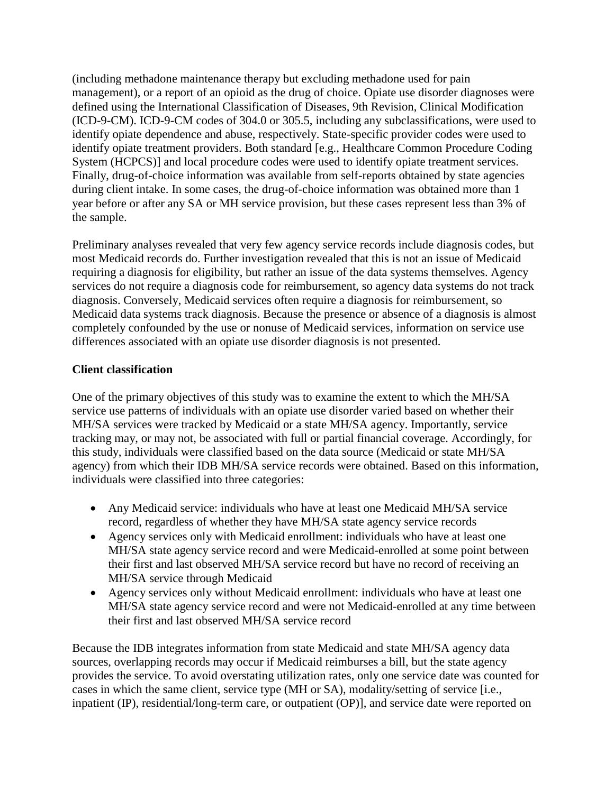(including methadone maintenance therapy but excluding methadone used for pain management), or a report of an opioid as the drug of choice. Opiate use disorder diagnoses were defined using the International Classification of Diseases, 9th Revision, Clinical Modification (ICD-9-CM). ICD-9-CM codes of 304.0 or 305.5, including any subclassifications, were used to identify opiate dependence and abuse, respectively. State-specific provider codes were used to identify opiate treatment providers. Both standard [e.g., Healthcare Common Procedure Coding System (HCPCS)] and local procedure codes were used to identify opiate treatment services. Finally, drug-of-choice information was available from self-reports obtained by state agencies during client intake. In some cases, the drug-of-choice information was obtained more than 1 year before or after any SA or MH service provision, but these cases represent less than 3% of the sample.

Preliminary analyses revealed that very few agency service records include diagnosis codes, but most Medicaid records do. Further investigation revealed that this is not an issue of Medicaid requiring a diagnosis for eligibility, but rather an issue of the data systems themselves. Agency services do not require a diagnosis code for reimbursement, so agency data systems do not track diagnosis. Conversely, Medicaid services often require a diagnosis for reimbursement, so Medicaid data systems track diagnosis. Because the presence or absence of a diagnosis is almost completely confounded by the use or nonuse of Medicaid services, information on service use differences associated with an opiate use disorder diagnosis is not presented.

# **Client classification**

One of the primary objectives of this study was to examine the extent to which the MH/SA service use patterns of individuals with an opiate use disorder varied based on whether their MH/SA services were tracked by Medicaid or a state MH/SA agency. Importantly, service tracking may, or may not, be associated with full or partial financial coverage. Accordingly, for this study, individuals were classified based on the data source (Medicaid or state MH/SA agency) from which their IDB MH/SA service records were obtained. Based on this information, individuals were classified into three categories:

- Any Medicaid service: individuals who have at least one Medicaid MH/SA service record, regardless of whether they have MH/SA state agency service records
- Agency services only with Medicaid enrollment: individuals who have at least one MH/SA state agency service record and were Medicaid-enrolled at some point between their first and last observed MH/SA service record but have no record of receiving an MH/SA service through Medicaid
- Agency services only without Medicaid enrollment: individuals who have at least one MH/SA state agency service record and were not Medicaid-enrolled at any time between their first and last observed MH/SA service record

Because the IDB integrates information from state Medicaid and state MH/SA agency data sources, overlapping records may occur if Medicaid reimburses a bill, but the state agency provides the service. To avoid overstating utilization rates, only one service date was counted for cases in which the same client, service type (MH or SA), modality/setting of service [i.e., inpatient (IP), residential/long-term care, or outpatient (OP)], and service date were reported on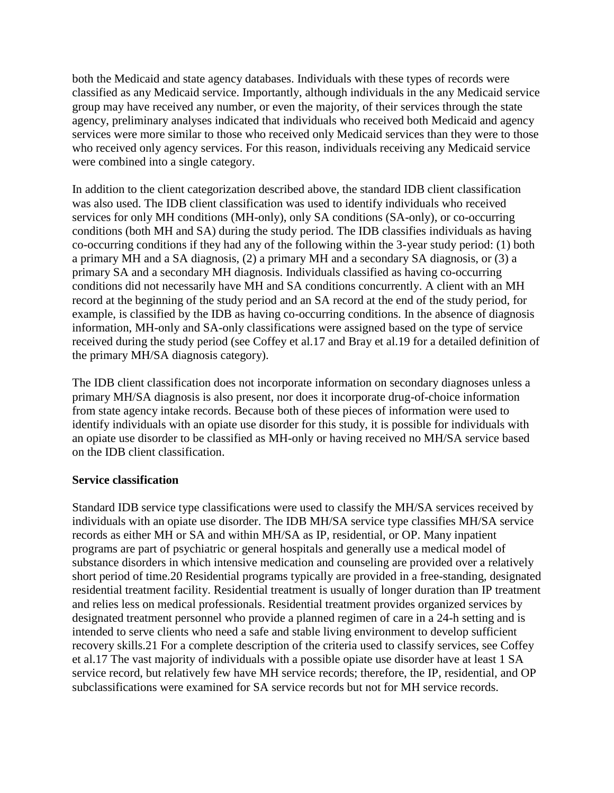both the Medicaid and state agency databases. Individuals with these types of records were classified as any Medicaid service. Importantly, although individuals in the any Medicaid service group may have received any number, or even the majority, of their services through the state agency, preliminary analyses indicated that individuals who received both Medicaid and agency services were more similar to those who received only Medicaid services than they were to those who received only agency services. For this reason, individuals receiving any Medicaid service were combined into a single category.

In addition to the client categorization described above, the standard IDB client classification was also used. The IDB client classification was used to identify individuals who received services for only MH conditions (MH-only), only SA conditions (SA-only), or co-occurring conditions (both MH and SA) during the study period. The IDB classifies individuals as having co-occurring conditions if they had any of the following within the 3-year study period: (1) both a primary MH and a SA diagnosis, (2) a primary MH and a secondary SA diagnosis, or (3) a primary SA and a secondary MH diagnosis. Individuals classified as having co-occurring conditions did not necessarily have MH and SA conditions concurrently. A client with an MH record at the beginning of the study period and an SA record at the end of the study period, for example, is classified by the IDB as having co-occurring conditions. In the absence of diagnosis information, MH-only and SA-only classifications were assigned based on the type of service received during the study period (see Coffey et al.17 and Bray et al.19 for a detailed definition of the primary MH/SA diagnosis category).

The IDB client classification does not incorporate information on secondary diagnoses unless a primary MH/SA diagnosis is also present, nor does it incorporate drug-of-choice information from state agency intake records. Because both of these pieces of information were used to identify individuals with an opiate use disorder for this study, it is possible for individuals with an opiate use disorder to be classified as MH-only or having received no MH/SA service based on the IDB client classification.

#### **Service classification**

Standard IDB service type classifications were used to classify the MH/SA services received by individuals with an opiate use disorder. The IDB MH/SA service type classifies MH/SA service records as either MH or SA and within MH/SA as IP, residential, or OP. Many inpatient programs are part of psychiatric or general hospitals and generally use a medical model of substance disorders in which intensive medication and counseling are provided over a relatively short period of time.20 Residential programs typically are provided in a free-standing, designated residential treatment facility. Residential treatment is usually of longer duration than IP treatment and relies less on medical professionals. Residential treatment provides organized services by designated treatment personnel who provide a planned regimen of care in a 24-h setting and is intended to serve clients who need a safe and stable living environment to develop sufficient recovery skills.21 For a complete description of the criteria used to classify services, see Coffey et al.17 The vast majority of individuals with a possible opiate use disorder have at least 1 SA service record, but relatively few have MH service records; therefore, the IP, residential, and OP subclassifications were examined for SA service records but not for MH service records.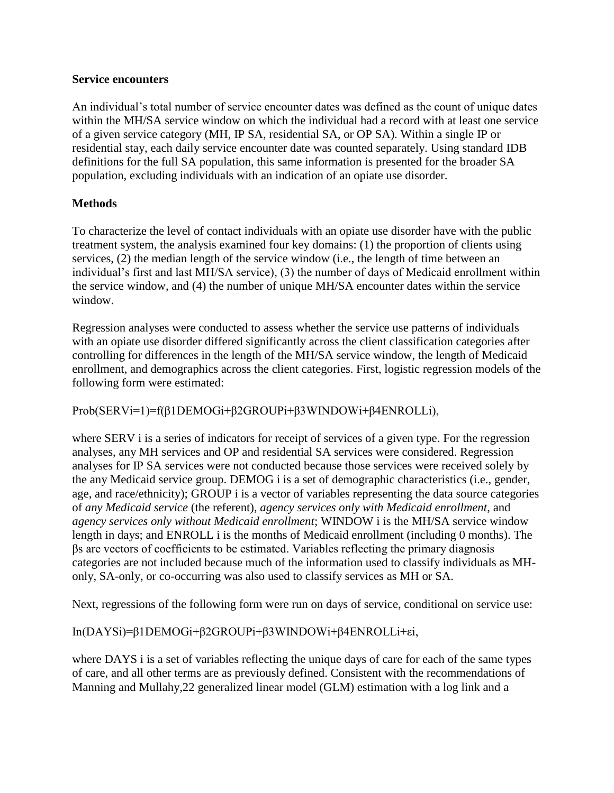## **Service encounters**

An individual's total number of service encounter dates was defined as the count of unique dates within the MH/SA service window on which the individual had a record with at least one service of a given service category (MH, IP SA, residential SA, or OP SA). Within a single IP or residential stay, each daily service encounter date was counted separately. Using standard IDB definitions for the full SA population, this same information is presented for the broader SA population, excluding individuals with an indication of an opiate use disorder.

# **Methods**

To characterize the level of contact individuals with an opiate use disorder have with the public treatment system, the analysis examined four key domains: (1) the proportion of clients using services, (2) the median length of the service window (i.e., the length of time between an individual's first and last MH/SA service), (3) the number of days of Medicaid enrollment within the service window, and (4) the number of unique MH/SA encounter dates within the service window.

Regression analyses were conducted to assess whether the service use patterns of individuals with an opiate use disorder differed significantly across the client classification categories after controlling for differences in the length of the MH/SA service window, the length of Medicaid enrollment, and demographics across the client categories. First, logistic regression models of the following form were estimated:

Prob(SERVi=1)=f(β1DEMOGi+β2GROUPi+β3WINDOWi+β4ENROLLi),

where SERV i is a series of indicators for receipt of services of a given type. For the regression analyses, any MH services and OP and residential SA services were considered. Regression analyses for IP SA services were not conducted because those services were received solely by the any Medicaid service group. DEMOG i is a set of demographic characteristics (i.e., gender, age, and race/ethnicity); GROUP i is a vector of variables representing the data source categories of *any Medicaid service* (the referent), *agency services only with Medicaid enrollment*, and *agency services only without Medicaid enrollment*; WINDOW i is the MH/SA service window length in days; and ENROLL i is the months of Medicaid enrollment (including 0 months). The βs are vectors of coefficients to be estimated. Variables reflecting the primary diagnosis categories are not included because much of the information used to classify individuals as MHonly, SA-only, or co-occurring was also used to classify services as MH or SA.

Next, regressions of the following form were run on days of service, conditional on service use:

In(DAYSi)=β1DEMOGi+β2GROUPi+β3WINDOWi+β4ENROLLi+εi,

where DAYS i is a set of variables reflecting the unique days of care for each of the same types of care, and all other terms are as previously defined. Consistent with the recommendations of Manning and Mullahy,22 generalized linear model (GLM) estimation with a log link and a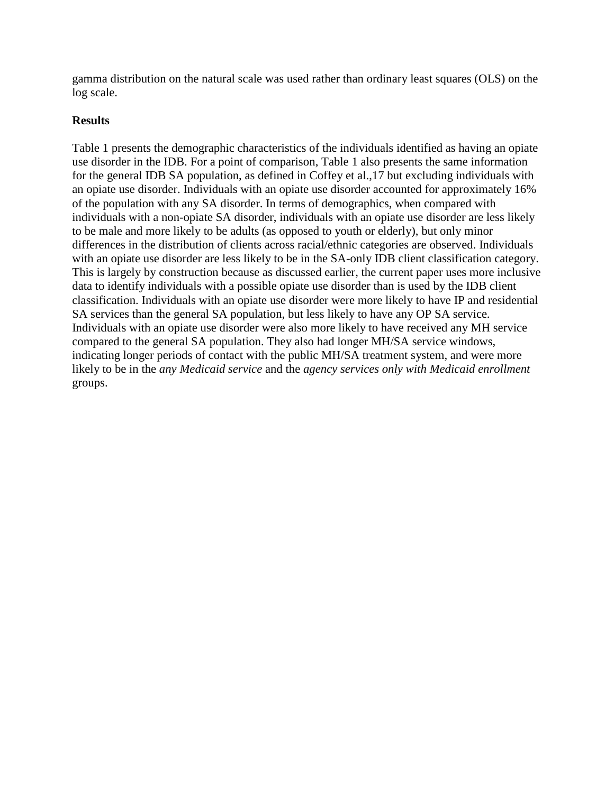gamma distribution on the natural scale was used rather than ordinary least squares (OLS) on the log scale.

## **Results**

Table 1 presents the demographic characteristics of the individuals identified as having an opiate use disorder in the IDB. For a point of comparison, Table 1 also presents the same information for the general IDB SA population, as defined in Coffey et al.,17 but excluding individuals with an opiate use disorder. Individuals with an opiate use disorder accounted for approximately 16% of the population with any SA disorder. In terms of demographics, when compared with individuals with a non-opiate SA disorder, individuals with an opiate use disorder are less likely to be male and more likely to be adults (as opposed to youth or elderly), but only minor differences in the distribution of clients across racial/ethnic categories are observed. Individuals with an opiate use disorder are less likely to be in the SA-only IDB client classification category. This is largely by construction because as discussed earlier, the current paper uses more inclusive data to identify individuals with a possible opiate use disorder than is used by the IDB client classification. Individuals with an opiate use disorder were more likely to have IP and residential SA services than the general SA population, but less likely to have any OP SA service. Individuals with an opiate use disorder were also more likely to have received any MH service compared to the general SA population. They also had longer MH/SA service windows, indicating longer periods of contact with the public MH/SA treatment system, and were more likely to be in the *any Medicaid service* and the *agency services only with Medicaid enrollment* groups.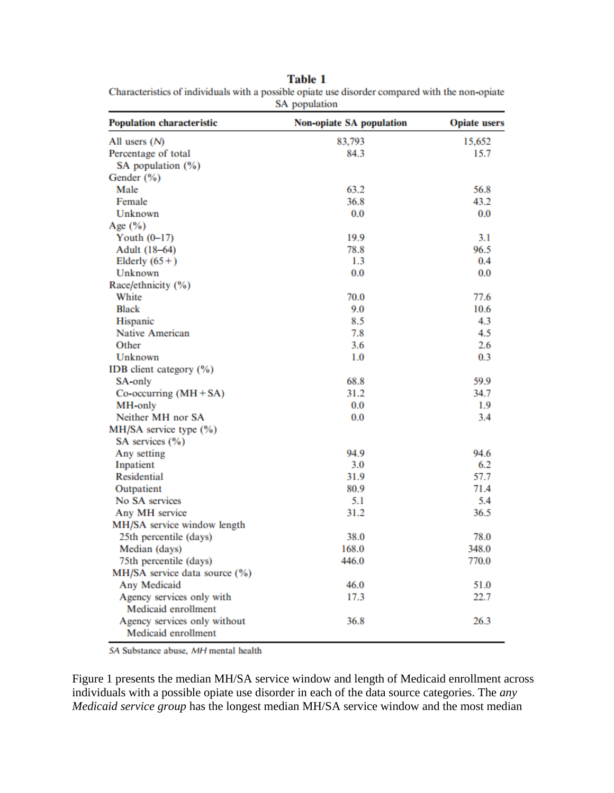**Table 1** 

Characteristics of individuals with a possible opiate use disorder compared with the non-opiate SA population

| <b>Population characteristic</b> | <b>Non-opiate SA population</b> | <b>Opiate users</b> |
|----------------------------------|---------------------------------|---------------------|
| All users $(N)$                  | 83,793                          | 15,652              |
| Percentage of total              | 84.3                            | 15.7                |
| SA population (%)                |                                 |                     |
| Gender $(\% )$                   |                                 |                     |
| Male                             | 63.2                            | 56.8                |
| Female                           | 36.8                            | 43.2                |
| Unknown                          | 0.0                             | 0.0                 |
| Age $(\%)$                       |                                 |                     |
| Youth $(0-17)$                   | 19.9                            | 3.1                 |
| Adult (18-64)                    | 78.8                            | 96.5                |
| Elderly $(65+)$                  | 1.3                             | 0.4                 |
| Unknown                          | 0.0                             | 0.0                 |
| Race/ethnicity (%)               |                                 |                     |
| White                            | 70.0                            | 77.6                |
| <b>Black</b>                     | 9.0                             | 10.6                |
| Hispanic                         | 8.5                             | 4.3                 |
| <b>Native American</b>           | 7.8                             | 4.5                 |
| Other                            | 3.6                             | 2.6                 |
| Unknown                          | 1.0                             | 0.3                 |
| IDB client category (%)          |                                 |                     |
| SA-only                          | 68.8                            | 59.9                |
| $Co\text{-}occurring (MH + SA)$  | 31.2                            | 34.7                |
| MH-only                          | 0.0                             | 1.9                 |
| Neither MH nor SA                | 0.0                             | 3.4                 |
| MH/SA service type (%)           |                                 |                     |
| SA services $(\% )$              |                                 |                     |
| Any setting                      | 94.9                            | 94.6                |
| Inpatient                        | 3.0                             | 6.2                 |
| <b>Residential</b>               | 31.9                            | 57.7                |
| Outpatient                       | 80.9                            | 71.4                |
| No SA services                   | 5.1                             | 5.4                 |
| Any MH service                   | 31.2                            | 36.5                |
| MH/SA service window length      |                                 |                     |
| 25th percentile (days)           | 38.0                            | 78.0                |
| Median (days)                    | 168.0                           | 348.0               |
| 75th percentile (days)           | 446.0                           | 770.0               |
| MH/SA service data source (%)    |                                 |                     |
| Any Medicaid                     | 46.0                            | 51.0                |
| Agency services only with        | 17.3                            | 22.7                |
| Medicaid enrollment              |                                 |                     |
| Agency services only without     | 36.8                            | 26.3                |
| Medicaid enrollment              |                                 |                     |

SA Substance abuse, MH mental health

Figure 1 presents the median MH/SA service window and length of Medicaid enrollment across individuals with a possible opiate use disorder in each of the data source categories. The *any Medicaid service group* has the longest median MH/SA service window and the most median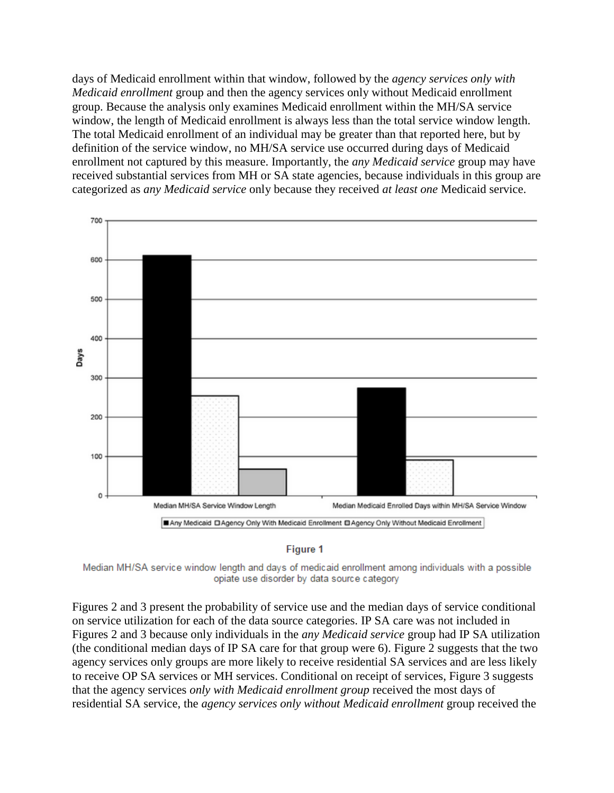days of Medicaid enrollment within that window, followed by the *agency services only with Medicaid enrollment* group and then the agency services only without Medicaid enrollment group. Because the analysis only examines Medicaid enrollment within the MH/SA service window, the length of Medicaid enrollment is always less than the total service window length. The total Medicaid enrollment of an individual may be greater than that reported here, but by definition of the service window, no MH/SA service use occurred during days of Medicaid enrollment not captured by this measure. Importantly, the *any Medicaid service* group may have received substantial services from MH or SA state agencies, because individuals in this group are categorized as *any Medicaid service* only because they received *at least one* Medicaid service.





Median MH/SA service window length and days of medicaid enrollment among individuals with a possible opiate use disorder by data source category

Figures 2 and 3 present the probability of service use and the median days of service conditional on service utilization for each of the data source categories. IP SA care was not included in Figures 2 and 3 because only individuals in the *any Medicaid service* group had IP SA utilization (the conditional median days of IP SA care for that group were 6). Figure 2 suggests that the two agency services only groups are more likely to receive residential SA services and are less likely to receive OP SA services or MH services. Conditional on receipt of services, Figure 3 suggests that the agency services *only with Medicaid enrollment group* received the most days of residential SA service, the *agency services only without Medicaid enrollment* group received the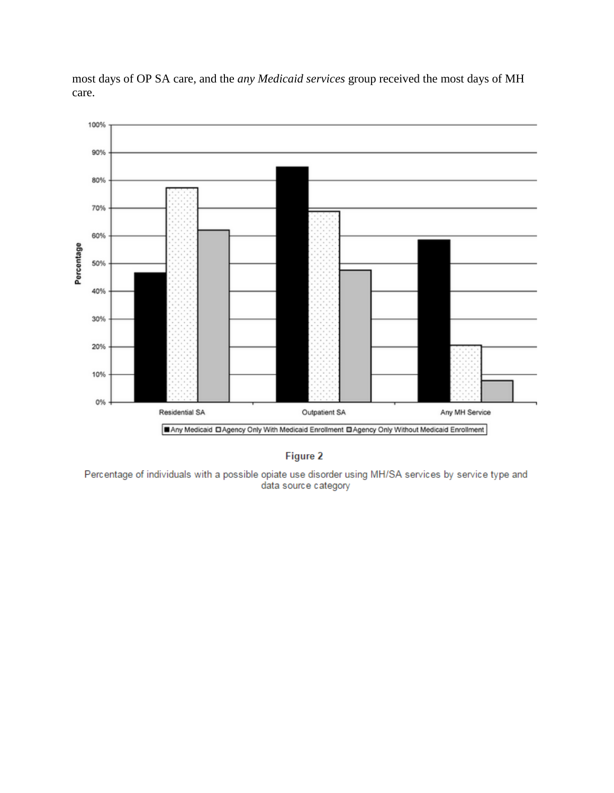

most days of OP SA care, and the *any Medicaid services* group received the most days of MH care.

Figure 2

Percentage of individuals with a possible opiate use disorder using MH/SA services by service type and data source category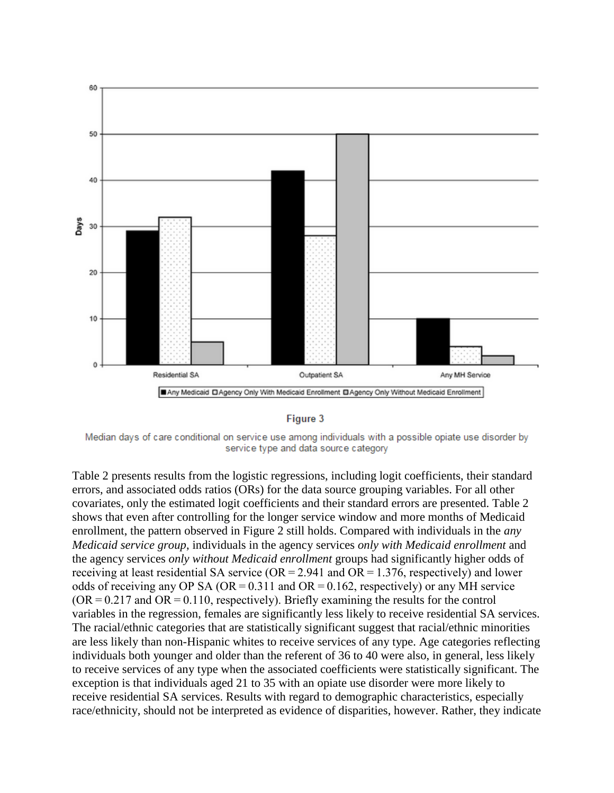

#### Figure 3

Median days of care conditional on service use among individuals with a possible opiate use disorder by service type and data source category

Table 2 presents results from the logistic regressions, including logit coefficients, their standard errors, and associated odds ratios (ORs) for the data source grouping variables. For all other covariates, only the estimated logit coefficients and their standard errors are presented. Table 2 shows that even after controlling for the longer service window and more months of Medicaid enrollment, the pattern observed in Figure 2 still holds. Compared with individuals in the *any Medicaid service group*, individuals in the agency services *only with Medicaid enrollment* and the agency services *only without Medicaid enrollment* groups had significantly higher odds of receiving at least residential SA service ( $OR = 2.941$  and  $OR = 1.376$ , respectively) and lower odds of receiving any OP SA ( $OR = 0.311$  and  $OR = 0.162$ , respectively) or any MH service  $(OR = 0.217$  and  $OR = 0.110$ , respectively). Briefly examining the results for the control variables in the regression, females are significantly less likely to receive residential SA services. The racial/ethnic categories that are statistically significant suggest that racial/ethnic minorities are less likely than non-Hispanic whites to receive services of any type. Age categories reflecting individuals both younger and older than the referent of 36 to 40 were also, in general, less likely to receive services of any type when the associated coefficients were statistically significant. The exception is that individuals aged 21 to 35 with an opiate use disorder were more likely to receive residential SA services. Results with regard to demographic characteristics, especially race/ethnicity, should not be interpreted as evidence of disparities, however. Rather, they indicate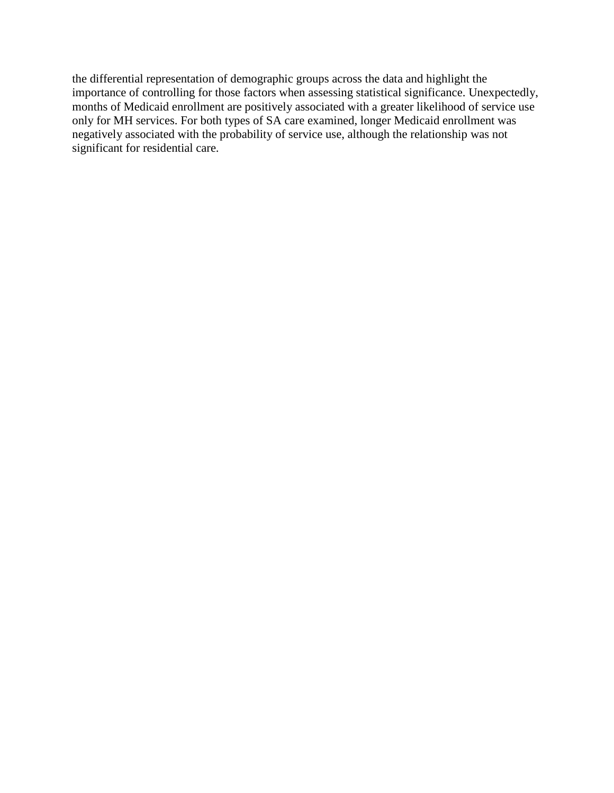the differential representation of demographic groups across the data and highlight the importance of controlling for those factors when assessing statistical significance. Unexpectedly, months of Medicaid enrollment are positively associated with a greater likelihood of service use only for MH services. For both types of SA care examined, longer Medicaid enrollment was negatively associated with the probability of service use, although the relationship was not significant for residential care.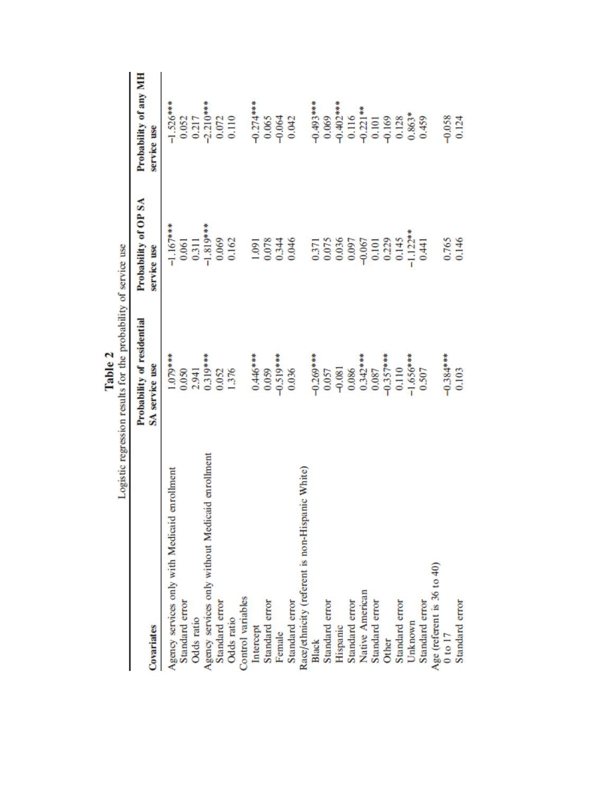|                                                  | program to the control of the property of service as |                      |                       |
|--------------------------------------------------|------------------------------------------------------|----------------------|-----------------------|
|                                                  | Probability of residential                           | Probability of OP SA | Probability of any MH |
| Covariates                                       | SA service use                                       | service use          | service use           |
| enrollment<br>Agency services only with Medicaid | 1.079***                                             | $-1.167***$          | $-1.526***$           |
| Standard error                                   | 0.050                                                | 0.061                | 0.052                 |
| Odds ratio                                       | 2.941                                                | 0.311                | 0.217                 |
| Agency services only without Medicaid enrollment | $0.319***$                                           | $-1.819**$           | $-2.210***$           |
| Standard error                                   | 0.052                                                | 0.069                | 0.072                 |
| Odds ratio                                       | 1.376                                                | 0.162                | 0.110                 |
| Control variables                                |                                                      |                      |                       |
| Intercept                                        | $0.446***$                                           | 1.091                | $-0.274***$           |
| Standard error                                   | 0.059                                                | 0.078                | 0.065                 |
| Female                                           | $-0.519***$                                          | 0.344                | $-0.064$              |
| Standard error                                   | 0.036                                                | 0.046                | 0.042                 |
| Race/ethnicity (referent is non-Hispanic White)  |                                                      |                      |                       |
| Black                                            | $-0.269***$                                          | 0.371                | $-0.493***$           |
| Standard error                                   | 0.057                                                | 0.075                | 0.069                 |
| Hispanic                                         | $-0.081$                                             | 0.036                | $-0.402$ ***          |
| Standard error                                   | 0.086                                                | 0.097                | 0.116                 |
| Native American                                  | $0.342***$                                           | $-0.067$             | $-0.221$              |
| Standard error                                   | 0.087                                                | 0.101                | 0.101                 |
| Other                                            | $-0.357***$                                          | 0.229                | $-0.169$              |
| Standard error                                   | 0.110                                                | 0.145                | 0.128                 |
| Unknown                                          | $-1.656***$                                          | $-1.122**$           | $0.863*$              |
| Standard error                                   | 0.507                                                | 0.441                | 0.459                 |
| Age (referent is 36 to 40)                       |                                                      |                      |                       |
| $0$ to $17$                                      | $-0.384***$                                          | 0.765                | $-0.058$              |
| Standard error                                   | 0.103                                                | 0.146                | 0.124                 |

Table 2<br>Logistic regression results for the probability of service use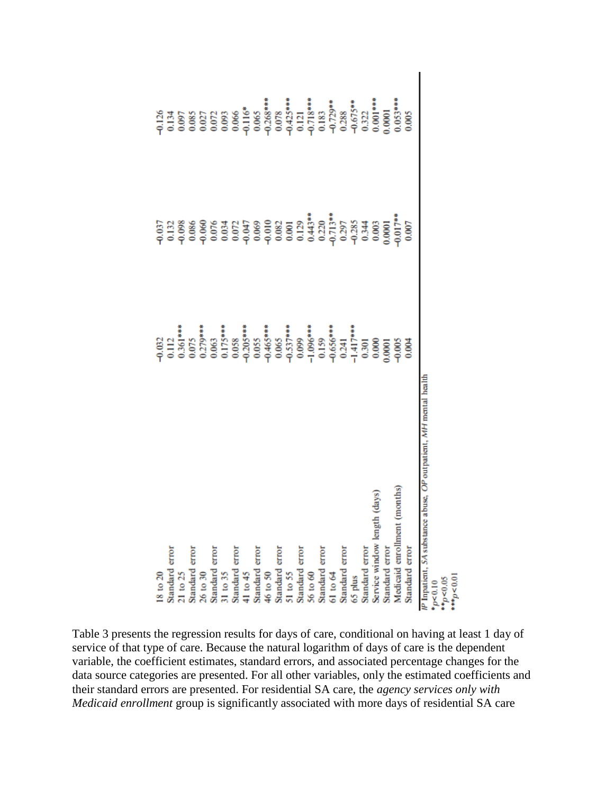| $18 \text{ to } 20$                                                  |               |            |            |
|----------------------------------------------------------------------|---------------|------------|------------|
| Standard error                                                       |               |            |            |
| $21$ to $25$                                                         |               |            |            |
| Standard error                                                       |               |            |            |
|                                                                      |               |            |            |
| $26$ to $30$ $$\rm{Standard}\xspace$ error                           |               |            |            |
| 31 to 35                                                             |               |            |            |
| Standard error                                                       |               |            |            |
| 41 to 45                                                             |               |            |            |
| Standard error                                                       |               |            |            |
| 46 to 50                                                             |               |            |            |
| Standard error                                                       |               |            |            |
| 51 to 55                                                             |               |            |            |
| Standard error                                                       |               |            |            |
| 56 to 60                                                             |               |            |            |
| Standard error                                                       |               |            |            |
| 61 to 64                                                             |               |            |            |
|                                                                      |               |            |            |
| Standard error<br>65 plus                                            |               |            |            |
| Standard error                                                       |               |            |            |
| Service window length (days)                                         | 0.000         |            |            |
| Standard error                                                       | 1,0001        |            | 1,0001     |
| months)<br>Medicaid enrollment                                       | $-0.005$      | $0.017$ ** | $0.053***$ |
| Standard error                                                       | $\frac{8}{2}$ | 0.007      | 0.005      |
| abuse, OP outpatient, MH mental health<br>IP Inpatient, SA substance |               |            |            |
| $*_{p<0.10}$<br>**p<0.05                                             |               |            |            |
|                                                                      |               |            |            |
| $+ + p < 0.0$                                                        |               |            |            |

Table 3 presents the regression results for days of care, conditional on having at least 1 day of service of that type of care. Because the natural logarithm of days of care is the dependent variable, the coefficient estimates, standard errors, and associated percentage changes for the data source categories are presented. For all other variables, only the estimated coefficients and their standard errors are presented. For residential SA care, the *agency services only with Medicaid enrollment* group is significantly associated with more days of residential SA care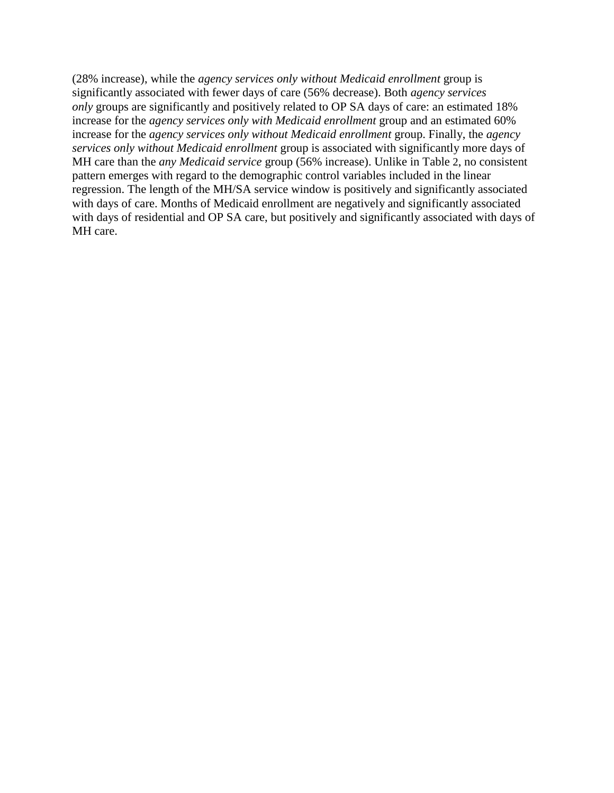(28% increase), while the *agency services only without Medicaid enrollment* group is significantly associated with fewer days of care (56% decrease). Both *agency services only* groups are significantly and positively related to OP SA days of care: an estimated 18% increase for the *agency services only with Medicaid enrollment* group and an estimated 60% increase for the *agency services only without Medicaid enrollment* group. Finally, the *agency services only without Medicaid enrollment* group is associated with significantly more days of MH care than the *any Medicaid service* group (56% increase). Unlike in Table 2, no consistent pattern emerges with regard to the demographic control variables included in the linear regression. The length of the MH/SA service window is positively and significantly associated with days of care. Months of Medicaid enrollment are negatively and significantly associated with days of residential and OP SA care, but positively and significantly associated with days of MH care.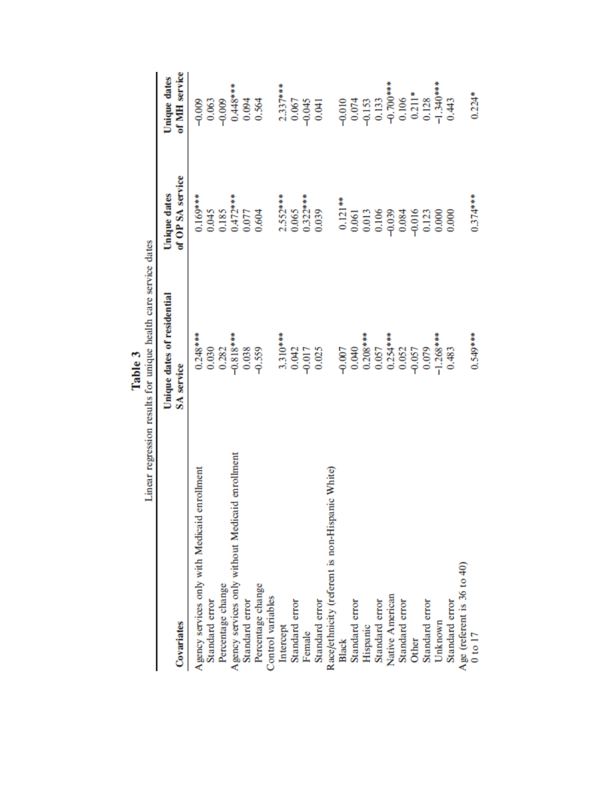|                                                  | Linear regression results for unique health care service dates<br>Table 3 |                                  |                                      |
|--------------------------------------------------|---------------------------------------------------------------------------|----------------------------------|--------------------------------------|
| Covariates                                       | Unique dates of residential<br>SA service                                 | of OP SA service<br>Unique dates | of MH service<br><b>Unique dates</b> |
| enrollment<br>Agency services only with Medicaid | $0.248***$                                                                | $0.169***$                       | $-0.009$                             |
| Standard error                                   | 0.030                                                                     | 0.045                            | 0.063                                |
| Percentage change                                | 0.282                                                                     | 0.185                            | $-0.009$                             |
| Agency services only without Medicaid enrollment | $-0.818***$                                                               | $0.472***$                       | $0.448***$                           |
| Standard error                                   | 0.038                                                                     | 0.077                            | 0.094                                |
| Percentage change                                | $-0.559$                                                                  | 0.604                            | 0.564                                |
| Control variables                                |                                                                           |                                  |                                      |
| Intercept                                        | $3.310***$                                                                | $2.552***$                       | $2.337***$                           |
| Standard error                                   | 0.042                                                                     | 0.065                            | 0.067                                |
| Female                                           | $-0.017$                                                                  | $0.322***$                       | $-0.045$                             |
| Standard error                                   | 0.025                                                                     | 0.039                            | 0.041                                |
| Race/ethnicity (referent is non-Hispanic White)  |                                                                           |                                  |                                      |
| Black                                            | $-0.007$                                                                  | $0.121***$                       | $-0.010$                             |
| Standard error                                   | 0.040                                                                     | 0.061                            | 0.074                                |
| Hispanic                                         | $0.208***$                                                                | 0.013                            | $-0.153$                             |
| Standard error                                   | 0.057                                                                     | 0.106                            | 0.133                                |
| Native American                                  | $0.254***$                                                                | $-0.039$                         | $-0.700***$                          |
| Standard error                                   | 0.052                                                                     | 0.084                            | 0.106                                |
| Other                                            | $-0.057$                                                                  | $-0.016$                         | $0.211*$                             |
| Standard error                                   | 0.079                                                                     | 0.123                            | 0.128                                |
| Unknown                                          | $-1.268***$                                                               | 0.000                            | $-1.340***$                          |
| Standard error                                   | 0.483                                                                     | 0.000                            | 0.443                                |
| Age (referent is 36 to 40)                       |                                                                           |                                  |                                      |
| $0$ to $17$                                      | $0.549***$                                                                | $0.374***$                       | $0.224*$                             |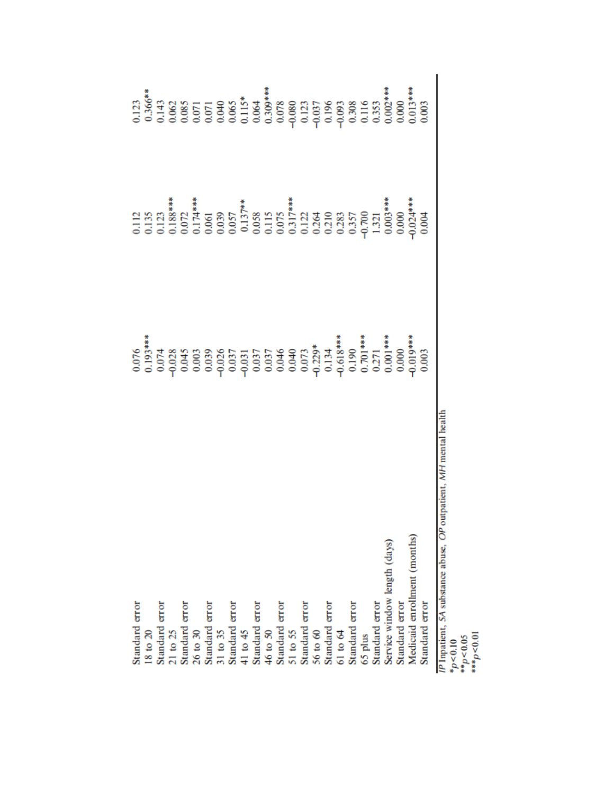| Standard error                                                                     |           |           |       |
|------------------------------------------------------------------------------------|-----------|-----------|-------|
| $18$ to $20$                                                                       |           |           |       |
| Standard error                                                                     |           |           |       |
| $21$ to $25$                                                                       |           |           |       |
| Standard error                                                                     |           |           |       |
| 26 to 30                                                                           |           |           |       |
| Standard error                                                                     |           |           |       |
| 31 to 35                                                                           |           |           |       |
| Standard error                                                                     |           |           |       |
| 41 to 45                                                                           |           |           |       |
| Standard error                                                                     |           |           |       |
| 46 to 50                                                                           |           |           |       |
| Standard error                                                                     |           |           |       |
| 51 to 55                                                                           |           |           |       |
| Standard error                                                                     |           |           |       |
| 56 to 60                                                                           |           |           |       |
| Standard error                                                                     |           |           |       |
| 61 to 64                                                                           |           |           |       |
| Standard error                                                                     |           |           |       |
| 65 plus                                                                            |           |           |       |
| Standard error                                                                     |           |           |       |
| Service window length (days)                                                       |           |           |       |
| Standard error                                                                     |           | 0.000     |       |
| Medicaid enrollment (months)                                                       | $0.019**$ | $0.024**$ |       |
| Standard error                                                                     | 0.003     | 0.004     | 0.003 |
| /P Inpatient, SA substance abuse, OP outpatient, MH mental health<br>$\frac{1}{2}$ |           |           |       |

 $* p < 0.10$   $* p < 0.05$   $* * p < 0.01$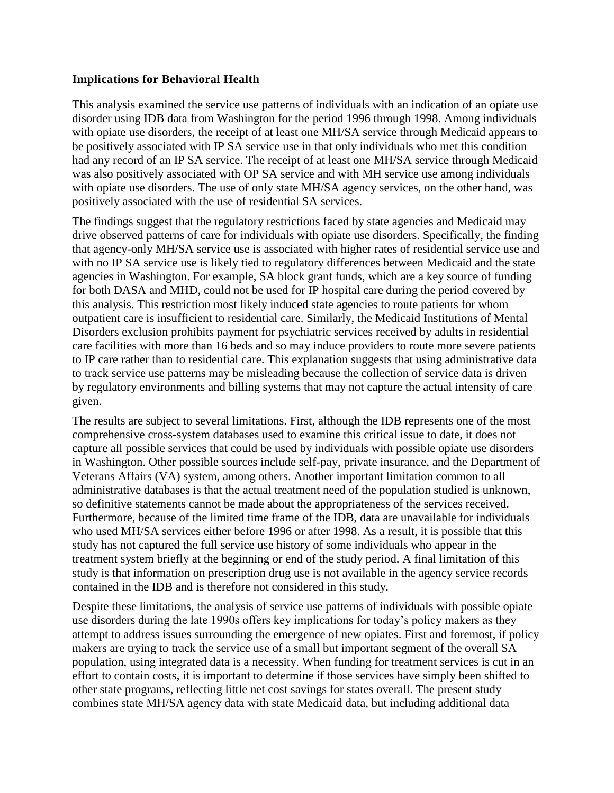#### **Implications for Behavioral Health**

This analysis examined the service use patterns of individuals with an indication of an opiate use disorder using IDB data from Washington for the period 1996 through 1998. Among individuals with opiate use disorders, the receipt of at least one MH/SA service through Medicaid appears to be positively associated with IP SA service use in that only individuals who met this condition had any record of an IP SA service. The receipt of at least one MH/SA service through Medicaid was also positively associated with OP SA service and with MH service use among individuals with opiate use disorders. The use of only state MH/SA agency services, on the other hand, was positively associated with the use of residential SA services.

The findings suggest that the regulatory restrictions faced by state agencies and Medicaid may drive observed patterns of care for individuals with opiate use disorders. Specifically, the finding that agency-only MH/SA service use is associated with higher rates of residential service use and with no IP SA service use is likely tied to regulatory differences between Medicaid and the state agencies in Washington. For example, SA block grant funds, which are a key source of funding for both DASA and MHD, could not be used for IP hospital care during the period covered by this analysis. This restriction most likely induced state agencies to route patients for whom outpatient care is insufficient to residential care. Similarly, the Medicaid Institutions of Mental Disorders exclusion prohibits payment for psychiatric services received by adults in residential care facilities with more than 16 beds and so may induce providers to route more severe patients to IP care rather than to residential care. This explanation suggests that using administrative data to track service use patterns may be misleading because the collection of service data is driven by regulatory environments and billing systems that may not capture the actual intensity of care given.

The results are subject to several limitations. First, although the IDB represents one of the most comprehensive cross-system databases used to examine this critical issue to date, it does not capture all possible services that could be used by individuals with possible opiate use disorders in Washington. Other possible sources include self-pay, private insurance, and the Department of Veterans Affairs (VA) system, among others. Another important limitation common to all administrative databases is that the actual treatment need of the population studied is unknown, so definitive statements cannot be made about the appropriateness of the services received. Furthermore, because of the limited time frame of the IDB, data are unavailable for individuals who used MH/SA services either before 1996 or after 1998. As a result, it is possible that this study has not captured the full service use history of some individuals who appear in the treatment system briefly at the beginning or end of the study period. A final limitation of this study is that information on prescription drug use is not available in the agency service records contained in the IDB and is therefore not considered in this study.

Despite these limitations, the analysis of service use patterns of individuals with possible opiate use disorders during the late 1990s offers key implications for today's policy makers as they attempt to address issues surrounding the emergence of new opiates. First and foremost, if policy makers are trying to track the service use of a small but important segment of the overall SA population, using integrated data is a necessity. When funding for treatment services is cut in an effort to contain costs, it is important to determine if those services have simply been shifted to other state programs, reflecting little net cost savings for states overall. The present study combines state MH/SA agency data with state Medicaid data, but including additional data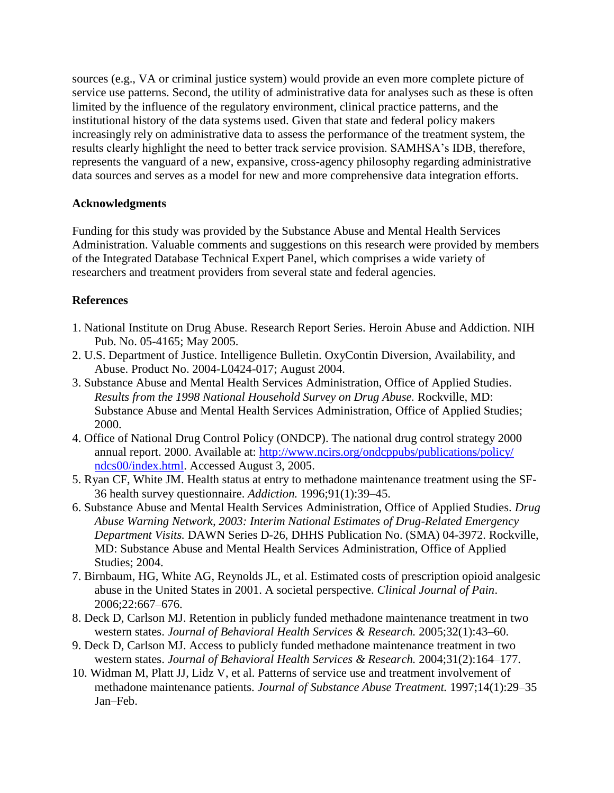sources (e.g., VA or criminal justice system) would provide an even more complete picture of service use patterns. Second, the utility of administrative data for analyses such as these is often limited by the influence of the regulatory environment, clinical practice patterns, and the institutional history of the data systems used. Given that state and federal policy makers increasingly rely on administrative data to assess the performance of the treatment system, the results clearly highlight the need to better track service provision. SAMHSA's IDB, therefore, represents the vanguard of a new, expansive, cross-agency philosophy regarding administrative data sources and serves as a model for new and more comprehensive data integration efforts.

## **Acknowledgments**

Funding for this study was provided by the Substance Abuse and Mental Health Services Administration. Valuable comments and suggestions on this research were provided by members of the Integrated Database Technical Expert Panel, which comprises a wide variety of researchers and treatment providers from several state and federal agencies.

# **References**

- 1. National Institute on Drug Abuse. Research Report Series. Heroin Abuse and Addiction. NIH Pub. No. 05-4165; May 2005.
- 2. U.S. Department of Justice. Intelligence Bulletin. OxyContin Diversion, Availability, and Abuse. Product No. 2004-L0424-017; August 2004.
- 3. Substance Abuse and Mental Health Services Administration, Office of Applied Studies. *Results from the 1998 National Household Survey on Drug Abuse.* Rockville, MD: Substance Abuse and Mental Health Services Administration, Office of Applied Studies; 2000.
- 4. Office of National Drug Control Policy (ONDCP). The national drug control strategy 2000 annual report. 2000. Available at: [http://www.ncirs.org/ondcppubs/publications/policy/](http://www.ncirs.org/​ondcppubs/​publications/​policy/​ndcs00/​index.​html) [ndcs00/index.html.](http://www.ncirs.org/​ondcppubs/​publications/​policy/​ndcs00/​index.​html) Accessed August 3, 2005.
- 5. Ryan CF, White JM. Health status at entry to methadone maintenance treatment using the SF-36 health survey questionnaire. *Addiction.* 1996;91(1):39–45.
- 6. Substance Abuse and Mental Health Services Administration, Office of Applied Studies. *Drug Abuse Warning Network, 2003: Interim National Estimates of Drug-Related Emergency Department Visits.* DAWN Series D-26, DHHS Publication No. (SMA) 04-3972. Rockville, MD: Substance Abuse and Mental Health Services Administration, Office of Applied Studies; 2004.
- 7. Birnbaum, HG, White AG, Reynolds JL, et al. Estimated costs of prescription opioid analgesic abuse in the United States in 2001. A societal perspective. *Clinical Journal of Pain*. 2006;22:667–676.
- 8. Deck D, Carlson MJ. Retention in publicly funded methadone maintenance treatment in two western states. *Journal of Behavioral Health Services & Research.* 2005;32(1):43–60.
- 9. Deck D, Carlson MJ. Access to publicly funded methadone maintenance treatment in two western states. *Journal of Behavioral Health Services & Research.* 2004;31(2):164–177.
- 10. Widman M, Platt JJ, Lidz V, et al. Patterns of service use and treatment involvement of methadone maintenance patients. *Journal of Substance Abuse Treatment.* 1997;14(1):29–35 Jan–Feb.